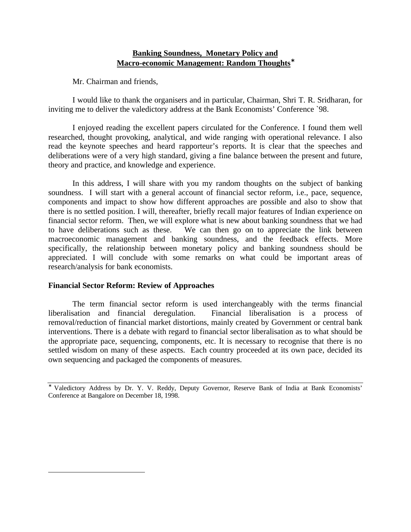# **Banking Soundness, Monetary Policy and Macro-economic Management: Random Thoughts**<sup>∗</sup>

Mr. Chairman and friends,

I would like to thank the organisers and in particular, Chairman, Shri T. R. Sridharan, for inviting me to deliver the valedictory address at the Bank Economists' Conference `98.

I enjoyed reading the excellent papers circulated for the Conference. I found them well researched, thought provoking, analytical, and wide ranging with operational relevance. I also read the keynote speeches and heard rapporteur's reports. It is clear that the speeches and deliberations were of a very high standard, giving a fine balance between the present and future, theory and practice, and knowledge and experience.

In this address, I will share with you my random thoughts on the subject of banking soundness. I will start with a general account of financial sector reform, i.e., pace, sequence, components and impact to show how different approaches are possible and also to show that there is no settled position. I will, thereafter, briefly recall major features of Indian experience on financial sector reform. Then, we will explore what is new about banking soundness that we had to have deliberations such as these. We can then go on to appreciate the link between macroeconomic management and banking soundness, and the feedback effects. More specifically, the relationship between monetary policy and banking soundness should be appreciated. I will conclude with some remarks on what could be important areas of research/analysis for bank economists.

### **Financial Sector Reform: Review of Approaches**

 $\overline{a}$ 

The term financial sector reform is used interchangeably with the terms financial liberalisation and financial deregulation. Financial liberalisation is a process of removal/reduction of financial market distortions, mainly created by Government or central bank interventions. There is a debate with regard to financial sector liberalisation as to what should be the appropriate pace, sequencing, components, etc. It is necessary to recognise that there is no settled wisdom on many of these aspects. Each country proceeded at its own pace, decided its own sequencing and packaged the components of measures.

<sup>∗</sup> Valedictory Address by Dr. Y. V. Reddy, Deputy Governor, Reserve Bank of India at Bank Economists' Conference at Bangalore on December 18, 1998.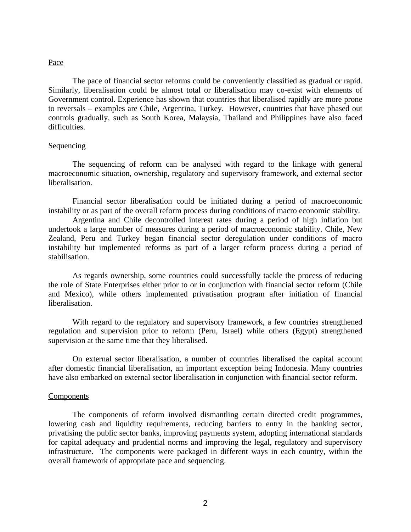## Pace

The pace of financial sector reforms could be conveniently classified as gradual or rapid. Similarly, liberalisation could be almost total or liberalisation may co-exist with elements of Government control. Experience has shown that countries that liberalised rapidly are more prone to reversals – examples are Chile, Argentina, Turkey. However, countries that have phased out controls gradually, such as South Korea, Malaysia, Thailand and Philippines have also faced difficulties.

### Sequencing

The sequencing of reform can be analysed with regard to the linkage with general macroeconomic situation, ownership, regulatory and supervisory framework, and external sector liberalisation.

Financial sector liberalisation could be initiated during a period of macroeconomic instability or as part of the overall reform process during conditions of macro economic stability.

Argentina and Chile decontrolled interest rates during a period of high inflation but undertook a large number of measures during a period of macroeconomic stability. Chile, New Zealand, Peru and Turkey began financial sector deregulation under conditions of macro instability but implemented reforms as part of a larger reform process during a period of stabilisation.

As regards ownership, some countries could successfully tackle the process of reducing the role of State Enterprises either prior to or in conjunction with financial sector reform (Chile and Mexico), while others implemented privatisation program after initiation of financial liberalisation.

With regard to the regulatory and supervisory framework, a few countries strengthened regulation and supervision prior to reform (Peru, Israel) while others (Egypt) strengthened supervision at the same time that they liberalised.

On external sector liberalisation, a number of countries liberalised the capital account after domestic financial liberalisation, an important exception being Indonesia. Many countries have also embarked on external sector liberalisation in conjunction with financial sector reform.

#### Components

The components of reform involved dismantling certain directed credit programmes, lowering cash and liquidity requirements, reducing barriers to entry in the banking sector, privatising the public sector banks, improving payments system, adopting international standards for capital adequacy and prudential norms and improving the legal, regulatory and supervisory infrastructure. The components were packaged in different ways in each country, within the overall framework of appropriate pace and sequencing.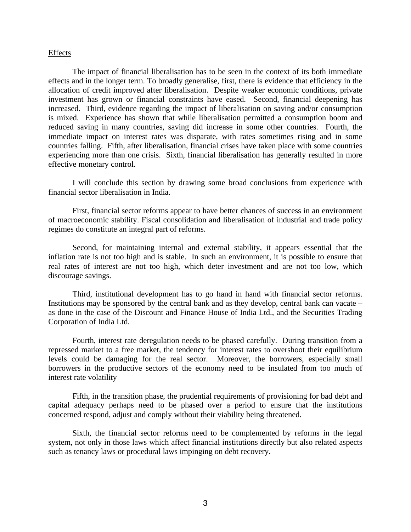#### **Effects**

The impact of financial liberalisation has to be seen in the context of its both immediate effects and in the longer term. To broadly generalise, first, there is evidence that efficiency in the allocation of credit improved after liberalisation. Despite weaker economic conditions, private investment has grown or financial constraints have eased. Second, financial deepening has increased. Third, evidence regarding the impact of liberalisation on saving and/or consumption is mixed. Experience has shown that while liberalisation permitted a consumption boom and reduced saving in many countries, saving did increase in some other countries. Fourth, the immediate impact on interest rates was disparate, with rates sometimes rising and in some countries falling. Fifth, after liberalisation, financial crises have taken place with some countries experiencing more than one crisis. Sixth, financial liberalisation has generally resulted in more effective monetary control.

I will conclude this section by drawing some broad conclusions from experience with financial sector liberalisation in India.

First, financial sector reforms appear to have better chances of success in an environment of macroeconomic stability. Fiscal consolidation and liberalisation of industrial and trade policy regimes do constitute an integral part of reforms.

Second, for maintaining internal and external stability, it appears essential that the inflation rate is not too high and is stable. In such an environment, it is possible to ensure that real rates of interest are not too high, which deter investment and are not too low, which discourage savings.

Third, institutional development has to go hand in hand with financial sector reforms. Institutions may be sponsored by the central bank and as they develop, central bank can vacate – as done in the case of the Discount and Finance House of India Ltd., and the Securities Trading Corporation of India Ltd.

Fourth, interest rate deregulation needs to be phased carefully. During transition from a repressed market to a free market, the tendency for interest rates to overshoot their equilibrium levels could be damaging for the real sector. Moreover, the borrowers, especially small borrowers in the productive sectors of the economy need to be insulated from too much of interest rate volatility

Fifth, in the transition phase, the prudential requirements of provisioning for bad debt and capital adequacy perhaps need to be phased over a period to ensure that the institutions concerned respond, adjust and comply without their viability being threatened.

Sixth, the financial sector reforms need to be complemented by reforms in the legal system, not only in those laws which affect financial institutions directly but also related aspects such as tenancy laws or procedural laws impinging on debt recovery.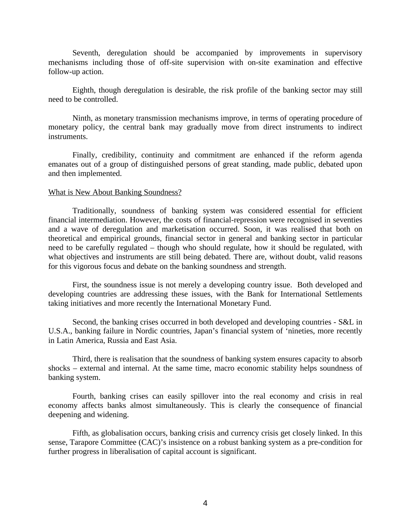Seventh, deregulation should be accompanied by improvements in supervisory mechanisms including those of off-site supervision with on-site examination and effective follow-up action.

Eighth, though deregulation is desirable, the risk profile of the banking sector may still need to be controlled.

Ninth, as monetary transmission mechanisms improve, in terms of operating procedure of monetary policy, the central bank may gradually move from direct instruments to indirect instruments.

Finally, credibility, continuity and commitment are enhanced if the reform agenda emanates out of a group of distinguished persons of great standing, made public, debated upon and then implemented.

### What is New About Banking Soundness?

Traditionally, soundness of banking system was considered essential for efficient financial intermediation. However, the costs of financial-repression were recognised in seventies and a wave of deregulation and marketisation occurred. Soon, it was realised that both on theoretical and empirical grounds, financial sector in general and banking sector in particular need to be carefully regulated – though who should regulate, how it should be regulated, with what objectives and instruments are still being debated. There are, without doubt, valid reasons for this vigorous focus and debate on the banking soundness and strength.

First, the soundness issue is not merely a developing country issue. Both developed and developing countries are addressing these issues, with the Bank for International Settlements taking initiatives and more recently the International Monetary Fund.

Second, the banking crises occurred in both developed and developing countries - S&L in U.S.A., banking failure in Nordic countries, Japan's financial system of 'nineties, more recently in Latin America, Russia and East Asia.

Third, there is realisation that the soundness of banking system ensures capacity to absorb shocks – external and internal. At the same time, macro economic stability helps soundness of banking system.

Fourth, banking crises can easily spillover into the real economy and crisis in real economy affects banks almost simultaneously. This is clearly the consequence of financial deepening and widening.

Fifth, as globalisation occurs, banking crisis and currency crisis get closely linked. In this sense, Tarapore Committee (CAC)'s insistence on a robust banking system as a pre-condition for further progress in liberalisation of capital account is significant.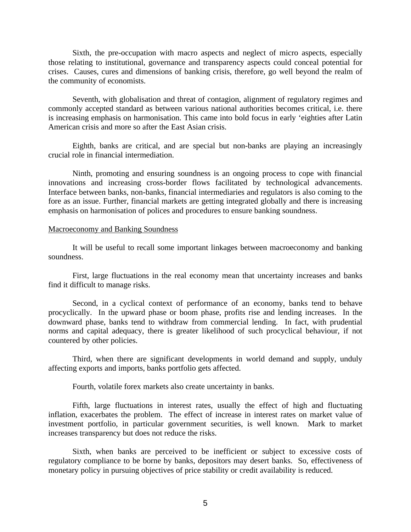Sixth, the pre-occupation with macro aspects and neglect of micro aspects, especially those relating to institutional, governance and transparency aspects could conceal potential for crises. Causes, cures and dimensions of banking crisis, therefore, go well beyond the realm of the community of economists.

Seventh, with globalisation and threat of contagion, alignment of regulatory regimes and commonly accepted standard as between various national authorities becomes critical, i.e. there is increasing emphasis on harmonisation. This came into bold focus in early 'eighties after Latin American crisis and more so after the East Asian crisis.

Eighth, banks are critical, and are special but non-banks are playing an increasingly crucial role in financial intermediation.

Ninth, promoting and ensuring soundness is an ongoing process to cope with financial innovations and increasing cross-border flows facilitated by technological advancements. Interface between banks, non-banks, financial intermediaries and regulators is also coming to the fore as an issue. Further, financial markets are getting integrated globally and there is increasing emphasis on harmonisation of polices and procedures to ensure banking soundness.

#### Macroeconomy and Banking Soundness

It will be useful to recall some important linkages between macroeconomy and banking soundness.

First, large fluctuations in the real economy mean that uncertainty increases and banks find it difficult to manage risks.

Second, in a cyclical context of performance of an economy, banks tend to behave procyclically. In the upward phase or boom phase, profits rise and lending increases. In the downward phase, banks tend to withdraw from commercial lending. In fact, with prudential norms and capital adequacy, there is greater likelihood of such procyclical behaviour, if not countered by other policies.

Third, when there are significant developments in world demand and supply, unduly affecting exports and imports, banks portfolio gets affected.

Fourth, volatile forex markets also create uncertainty in banks.

Fifth, large fluctuations in interest rates, usually the effect of high and fluctuating inflation, exacerbates the problem. The effect of increase in interest rates on market value of investment portfolio, in particular government securities, is well known. Mark to market increases transparency but does not reduce the risks.

Sixth, when banks are perceived to be inefficient or subject to excessive costs of regulatory compliance to be borne by banks, depositors may desert banks. So, effectiveness of monetary policy in pursuing objectives of price stability or credit availability is reduced.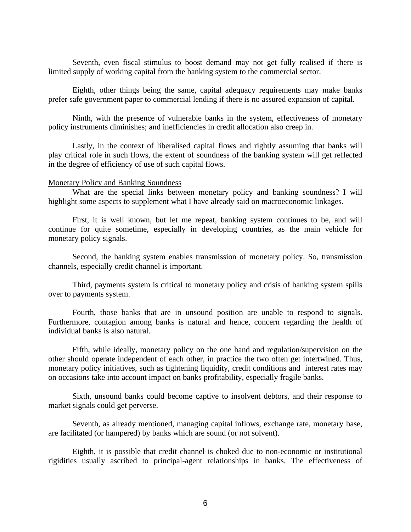Seventh, even fiscal stimulus to boost demand may not get fully realised if there is limited supply of working capital from the banking system to the commercial sector.

Eighth, other things being the same, capital adequacy requirements may make banks prefer safe government paper to commercial lending if there is no assured expansion of capital.

Ninth, with the presence of vulnerable banks in the system, effectiveness of monetary policy instruments diminishes; and inefficiencies in credit allocation also creep in.

Lastly, in the context of liberalised capital flows and rightly assuming that banks will play critical role in such flows, the extent of soundness of the banking system will get reflected in the degree of efficiency of use of such capital flows.

#### Monetary Policy and Banking Soundness

What are the special links between monetary policy and banking soundness? I will highlight some aspects to supplement what I have already said on macroeconomic linkages.

First, it is well known, but let me repeat, banking system continues to be, and will continue for quite sometime, especially in developing countries, as the main vehicle for monetary policy signals.

Second, the banking system enables transmission of monetary policy. So, transmission channels, especially credit channel is important.

Third, payments system is critical to monetary policy and crisis of banking system spills over to payments system.

Fourth, those banks that are in unsound position are unable to respond to signals. Furthermore, contagion among banks is natural and hence, concern regarding the health of individual banks is also natural.

Fifth, while ideally, monetary policy on the one hand and regulation/supervision on the other should operate independent of each other, in practice the two often get intertwined. Thus, monetary policy initiatives, such as tightening liquidity, credit conditions and interest rates may on occasions take into account impact on banks profitability, especially fragile banks.

Sixth, unsound banks could become captive to insolvent debtors, and their response to market signals could get perverse.

Seventh, as already mentioned, managing capital inflows, exchange rate, monetary base, are facilitated (or hampered) by banks which are sound (or not solvent).

Eighth, it is possible that credit channel is choked due to non-economic or institutional rigidities usually ascribed to principal-agent relationships in banks. The effectiveness of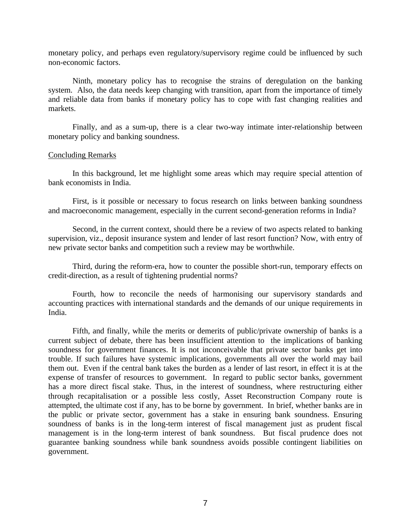monetary policy, and perhaps even regulatory/supervisory regime could be influenced by such non-economic factors.

Ninth, monetary policy has to recognise the strains of deregulation on the banking system. Also, the data needs keep changing with transition, apart from the importance of timely and reliable data from banks if monetary policy has to cope with fast changing realities and markets.

Finally, and as a sum-up, there is a clear two-way intimate inter-relationship between monetary policy and banking soundness.

#### Concluding Remarks

In this background, let me highlight some areas which may require special attention of bank economists in India.

First, is it possible or necessary to focus research on links between banking soundness and macroeconomic management, especially in the current second-generation reforms in India?

Second, in the current context, should there be a review of two aspects related to banking supervision, viz., deposit insurance system and lender of last resort function? Now, with entry of new private sector banks and competition such a review may be worthwhile.

Third, during the reform-era, how to counter the possible short-run, temporary effects on credit-direction, as a result of tightening prudential norms?

Fourth, how to reconcile the needs of harmonising our supervisory standards and accounting practices with international standards and the demands of our unique requirements in India.

Fifth, and finally, while the merits or demerits of public/private ownership of banks is a current subject of debate, there has been insufficient attention to the implications of banking soundness for government finances. It is not inconceivable that private sector banks get into trouble. If such failures have systemic implications, governments all over the world may bail them out. Even if the central bank takes the burden as a lender of last resort, in effect it is at the expense of transfer of resources to government. In regard to public sector banks, government has a more direct fiscal stake. Thus, in the interest of soundness, where restructuring either through recapitalisation or a possible less costly, Asset Reconstruction Company route is attempted, the ultimate cost if any, has to be borne by government. In brief, whether banks are in the public or private sector, government has a stake in ensuring bank soundness. Ensuring soundness of banks is in the long-term interest of fiscal management just as prudent fiscal management is in the long-term interest of bank soundness. But fiscal prudence does not guarantee banking soundness while bank soundness avoids possible contingent liabilities on government.